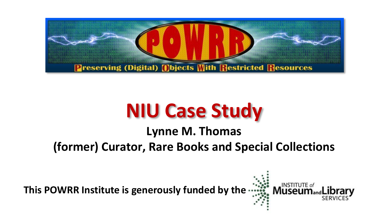

# **NIU Case Study**

#### **Lynne M. Thomas (former) Curator, Rare Books and Special Collections**

**This POWRR Institute is generously funded by the**

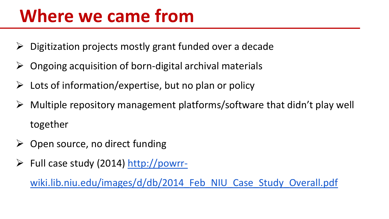### **Where we came from**

- Digitization projects mostly grant funded over a decade
- Ongoing acquisition of born-digital archival materials
- $\triangleright$  Lots of information/expertise, but no plan or policy
- Multiple repository management platforms/software that didn't play well together
- $\triangleright$  Open source, no direct funding
- $\triangleright$  Full case study (2014) http://powrr-

wiki.lib.niu.edu/images/d/db/2014 Feb NIU Case Study Overall.pdf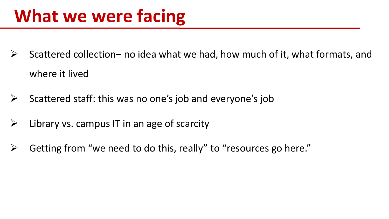# **What we were facing**

- $\triangleright$  Scattered collection– no idea what we had, how much of it, what formats, and where it lived
- $\triangleright$  Scattered staff: this was no one's job and everyone's job
- $\triangleright$  Library vs. campus IT in an age of scarcity
- $\triangleright$  Getting from "we need to do this, really" to "resources go here."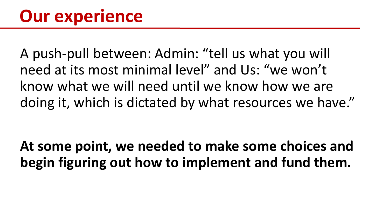A push-pull between: Admin: "tell us what you will need at its most minimal level" and Us: "we won't know what we will need until we know how we are doing it, which is dictated by what resources we have."

**At some point, we needed to make some choices and begin figuring out how to implement and fund them.**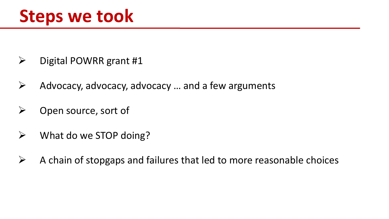- $\triangleright$  Digital POWRR grant #1
- $\triangleright$  Advocacy, advocacy, advocacy ... and a few arguments
- $\triangleright$  Open source, sort of
- $\triangleright$  What do we STOP doing?
- $\triangleright$  A chain of stopgaps and failures that led to more reasonable choices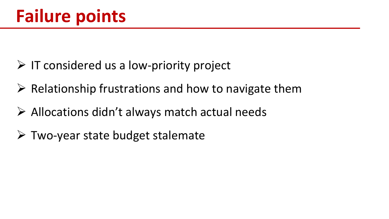- $\triangleright$  IT considered us a low-priority project
- $\triangleright$  Relationship frustrations and how to navigate them
- $\triangleright$  Allocations didn't always match actual needs
- $\triangleright$  Two-year state budget stalemate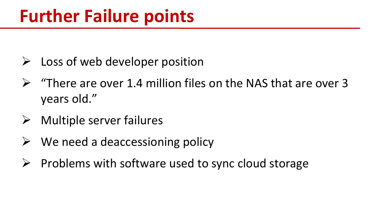- $\triangleright$  Loss of web developer position
- $\triangleright$  "There are over 1.4 million files on the NAS that are over 3 years old."
- $\triangleright$  Multiple server failures
- $\triangleright$  We need a deaccessioning policy
- $\triangleright$  Problems with software used to sync cloud storage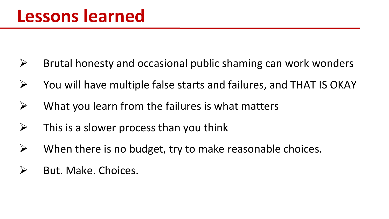- $\triangleright$  Brutal honesty and occasional public shaming can work wonders
- $\triangleright$  You will have multiple false starts and failures, and THAT IS OKAY
- $\triangleright$  What you learn from the failures is what matters
- $\triangleright$  This is a slower process than you think
- $\triangleright$  When there is no budget, try to make reasonable choices.
- $\triangleright$  But. Make. Choices.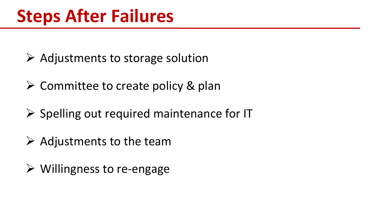- $\triangleright$  Adjustments to storage solution
- $\triangleright$  Committee to create policy & plan
- $\triangleright$  Spelling out required maintenance for IT
- $\triangleright$  Adjustments to the team
- $\triangleright$  Willingness to re-engage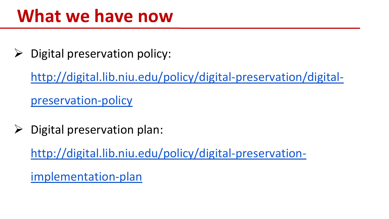### **What we have now**

Digital preservation policy:

[http://digital.lib.niu.edu/policy/digital-preservation/digital](http://digital.lib.niu.edu/policy/digital-preservation/digital-preservation-policy)preservation-policy

Digital preservation plan:

[http://digital.lib.niu.edu/policy/digital-preservation-](http://digital.lib.niu.edu/policy/digital-preservation-implementation-plan)

implementation-plan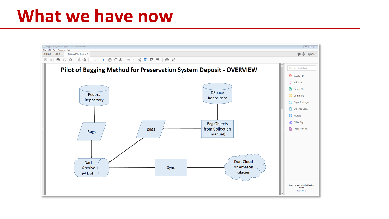#### **What we have now**

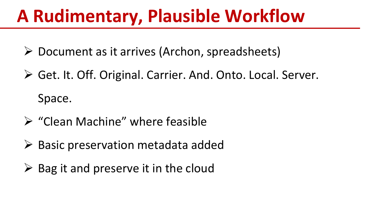## **A Rudimentary, Plausible Workflow**

- $\triangleright$  Document as it arrives (Archon, spreadsheets)
- Get. It. Off. Original. Carrier. And. Onto. Local. Server. Space.
- $\triangleright$  "Clean Machine" where feasible
- $\triangleright$  Basic preservation metadata added
- $\triangleright$  Bag it and preserve it in the cloud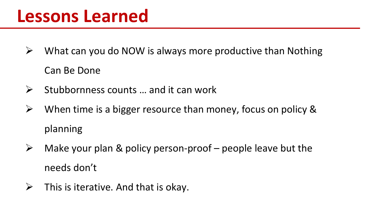#### **Lessons Learned**

- $\triangleright$  What can you do NOW is always more productive than Nothing Can Be Done
- $\triangleright$  Stubbornness counts ... and it can work
- $\triangleright$  When time is a bigger resource than money, focus on policy & planning
- $\triangleright$  Make your plan & policy person-proof people leave but the needs don't
- $\triangleright$  This is iterative. And that is okay.